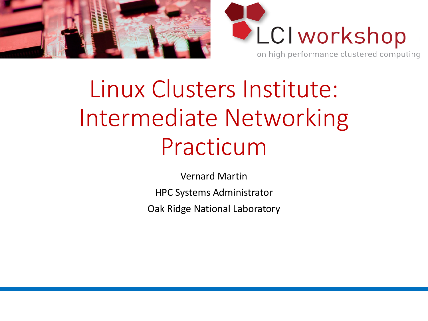



# Linux Clusters Institute: Intermediate Networking Practicum

Vernard Martin HPC Systems Administrator Oak Ridge National Laboratory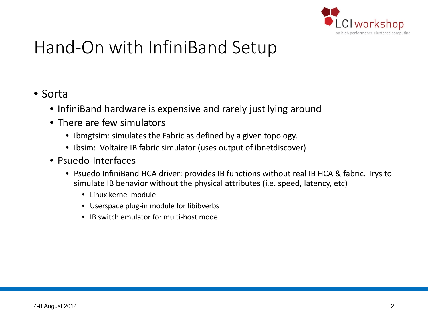

# Hand-On with InfiniBand Setup

#### • Sorta

- InfiniBand hardware is expensive and rarely just lying around
- There are few simulators
	- Ibmgtsim: simulates the Fabric as defined by a given topology.
	- Ibsim: Voltaire IB fabric simulator (uses output of ibnetdiscover)
- Psuedo-Interfaces
	- Psuedo InfiniBand HCA driver: provides IB functions without real IB HCA & fabric. Trys to simulate IB behavior without the physical attributes (i.e. speed, latency, etc)
		- Linux kernel module
		- Userspace plug-in module for libibverbs
		- IB switch emulator for multi-host mode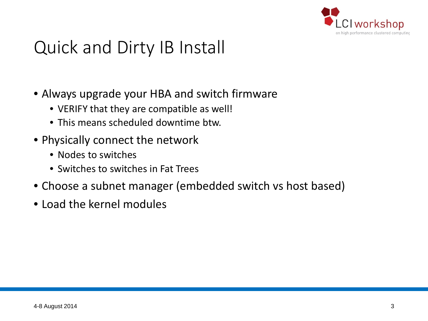

### Quick and Dirty IB Install

- Always upgrade your HBA and switch firmware
	- VERIFY that they are compatible as well!
	- This means scheduled downtime btw.
- Physically connect the network
	- Nodes to switches
	- Switches to switches in Fat Trees
- Choose a subnet manager (embedded switch vs host based)
- Load the kernel modules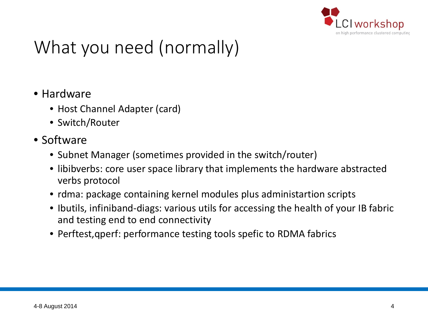

# What you need (normally)

- Hardware
	- Host Channel Adapter (card)
	- Switch/Router
- Software
	- Subnet Manager (sometimes provided in the switch/router)
	- libibverbs: core user space library that implements the hardware abstracted verbs protocol
	- rdma: package containing kernel modules plus administartion scripts
	- Ibutils, infiniband-diags: various utils for accessing the health of your IB fabric and testing end to end connectivity
	- Perftest,qperf: performance testing tools spefic to RDMA fabrics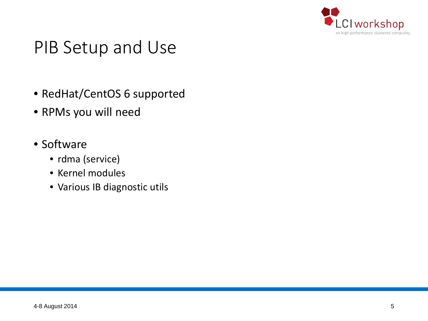

#### PIB Setup and Use

- RedHat/CentOS 6 supported
- RPMs you will need
- Software
	- rdma (service)
	- Kernel modules
	- Various IB diagnostic utils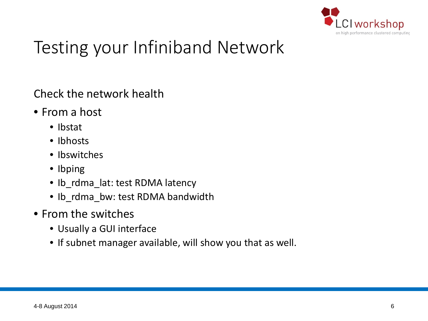

# Testing your Infiniband Network

Check the network health

- From a host
	- Ibstat
	- Ibhosts
	- Ibswitches
	- Ibping
	- Ib\_rdma\_lat: test RDMA latency
	- Ib\_rdma\_bw: test RDMA bandwidth
- From the switches
	- Usually a GUI interface
	- If subnet manager available, will show you that as well.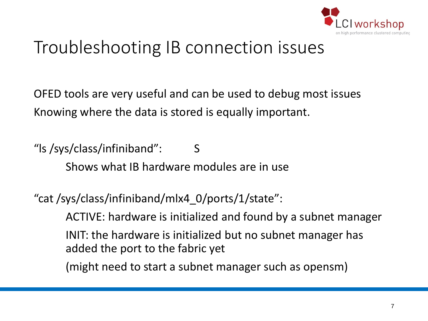

# Troubleshooting IB connection issues

OFED tools are very useful and can be used to debug most issues Knowing where the data is stored is equally important.

"ls /sys/class/infiniband": S Shows what IB hardware modules are in use

"cat /sys/class/infiniband/mlx4\_0/ports/1/state":

ACTIVE: hardware is initialized and found by a subnet manager

INIT: the hardware is initialized but no subnet manager has added the port to the fabric yet

(might need to start a subnet manager such as opensm)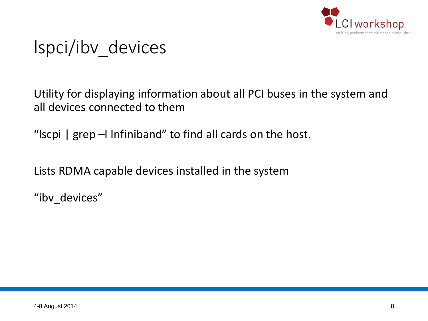

# lspci/ibv\_devices

Utility for displaying information about all PCI buses in the system and all devices connected to them

"lscpi | grep –I Infiniband" to find all cards on the host.

Lists RDMA capable devices installed in the system

"ibv devices"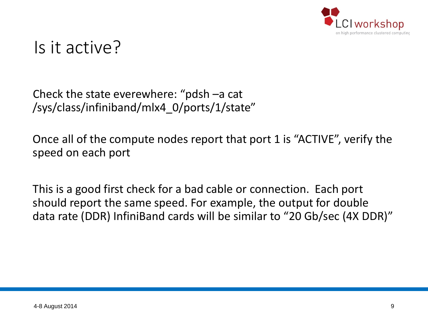

#### Is it active?

Check the state everewhere: "pdsh –a cat /sys/class/infiniband/mlx4\_0/ports/1/state"

Once all of the compute nodes report that port 1 is "ACTIVE", verify the speed on each port

This is a good first check for a bad cable or connection. Each port should report the same speed. For example, the output for double data rate (DDR) InfiniBand cards will be similar to "20 Gb/sec (4X DDR)"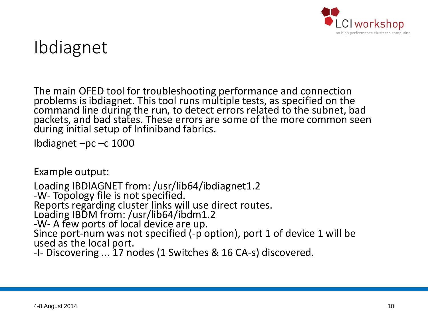

## Ibdiagnet

The main OFED tool for troubleshooting performance and connection<br>problems is ibdiagnet. This tool runs multiple tests, as specified on the<br>command line during the run, to detect errors related to the subnet, bad packets, and bad states. These errors are some of the more common seen during initial setup of Infiniband fabrics.

Ibdiagnet –pc –c 1000

Example output:

Loading IBDIAGNET from: /usr/lib64/ibdiagnet1.2<br>-W- Topology file is not specified.<br>Reports regarding cluster links will use direct routes. Loading IBDM from: /usr/lib64/ibdm1.2<br>-W- A few ports of local device are up. Since port-num was not specified (-p option), port 1 of device 1 will be used as the local port. -I- Discovering ... 17 nodes (1 Switches & 16 CA-s) discovered.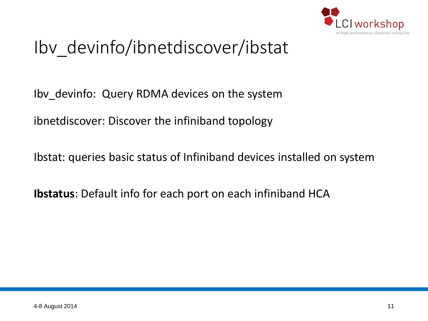

# Ibv\_devinfo/ibnetdiscover/ibstat

Ibv\_devinfo: Query RDMA devices on the system

ibnetdiscover: Discover the infiniband topology

Ibstat: queries basic status of Infiniband devices installed on system

**Ibstatus**: Default info for each port on each infiniband HCA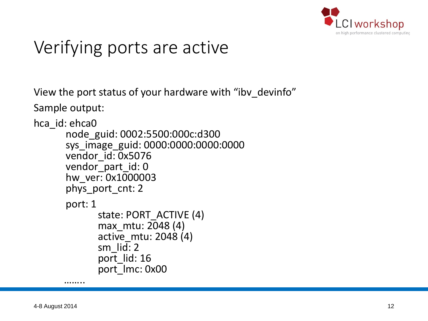

# Verifying ports are active

View the port status of your hardware with "ibv\_devinfo"

Sample output:

```
hca_id: ehca0
```

```
node_guid: 0002:5500:000c:d300 
sys_image_guid: 0000:0000:0000:0000 
vendor_id: 0x5076
vendor_part_id: 0 
hw_ver: 0x1000003 
phys_port_cnt: 2 
port: 1 
       state: PORT_ACTIVE (4) 
       max_mtu: 2048 (4) 
       active_mtu: 2048 (4) 
       sm_lid: 2 
       port lid: 16port_lmc: 0x00<br>……..
```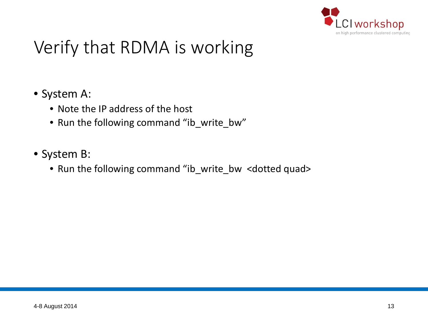

### Verify that RDMA is working

#### • System A:

- Note the IP address of the host
- Run the following command "ib\_write\_bw"
- System B:
	- Run the following command "ib\_write\_bw <dotted quad>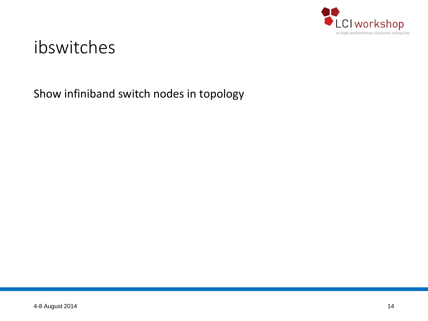

#### ibswitches

Show infiniband switch nodes in topology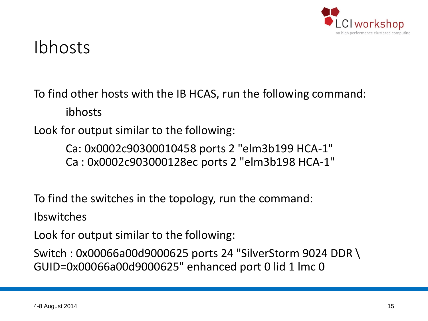

#### Ibhosts

To find other hosts with the IB HCAS, run the following command: ibhosts

Look for output similar to the following:

Ca: 0x0002c90300010458 ports 2 "elm3b199 HCA-1" Ca : 0x0002c903000128ec ports 2 "elm3b198 HCA-1"

To find the switches in the topology, run the command:

Ibswitches

Look for output similar to the following:

Switch : 0x00066a00d9000625 ports 24 "SilverStorm 9024 DDR \ GUID=0x00066a00d9000625" enhanced port 0 lid 1 lmc 0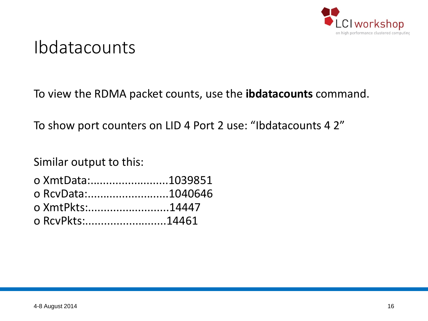

#### Ibdatacounts

To view the RDMA packet counts, use the **ibdatacounts** command.

To show port counters on LID 4 Port 2 use: "Ibdatacounts 4 2"

Similar output to this:

| o XmtData:1039851 |  |
|-------------------|--|
| o RcyData:1040646 |  |
| o XmtPkts:14447   |  |
| o RcvPkts:14461   |  |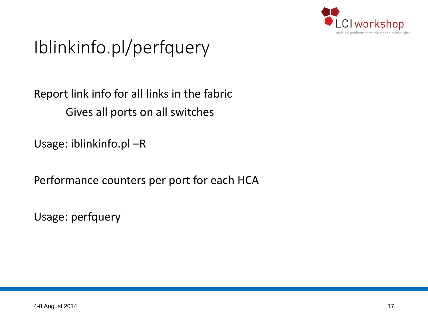

# Iblinkinfo.pl/perfquery

#### Report link info for all links in the fabric Gives all ports on all switches

Usage: iblinkinfo.pl –R

Performance counters per port for each HCA

Usage: perfquery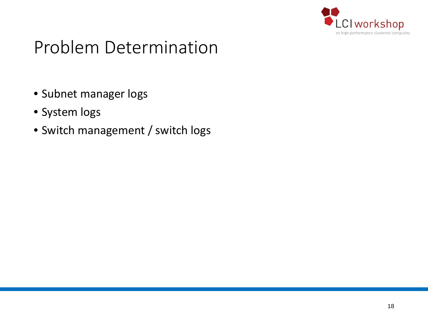

- Subnet manager logs
- System logs
- Switch management / switch logs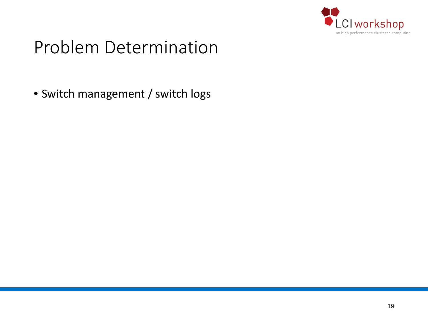

• Switch management / switch logs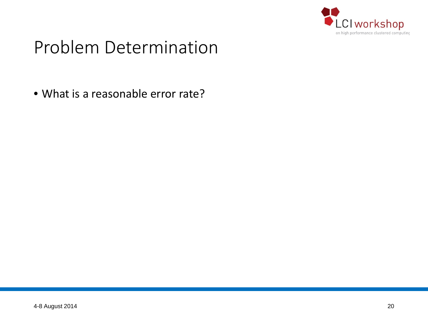

• What is a reasonable error rate?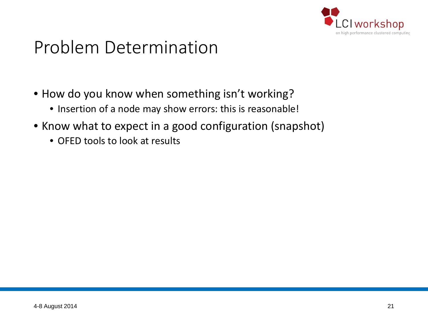

- How do you know when something isn't working?
	- Insertion of a node may show errors: this is reasonable!
- Know what to expect in a good configuration (snapshot)
	- OFED tools to look at results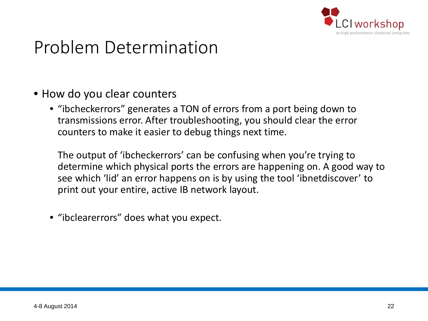

- How do you clear counters
	- "ibcheckerrors" generates a TON of errors from a port being down to transmissions error. After troubleshooting, you should clear the error counters to make it easier to debug things next time.

The output of 'ibcheckerrors' can be confusing when you're trying to determine which physical ports the errors are happening on. A good way to see which 'lid' an error happens on is by using the tool 'ibnetdiscover' to print out your entire, active IB network layout.

• "ibclearerrors" does what you expect.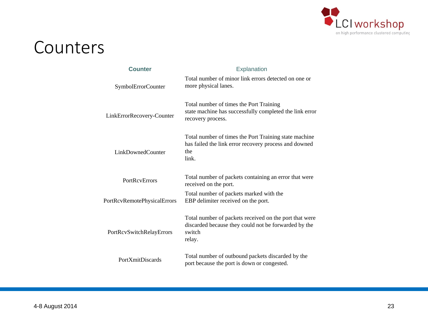

#### Counters

| <b>Counter</b>              | Explanation                                                                                                                        |
|-----------------------------|------------------------------------------------------------------------------------------------------------------------------------|
| SymbolErrorCounter          | Total number of minor link errors detected on one or<br>more physical lanes.                                                       |
| LinkErrorRecovery-Counter   | Total number of times the Port Training<br>state machine has successfully completed the link error<br>recovery process.            |
| LinkDownedCounter           | Total number of times the Port Training state machine<br>has failed the link error recovery process and downed<br>the<br>link.     |
| <b>PortRevErrors</b>        | Total number of packets containing an error that were<br>received on the port.                                                     |
| PortRcvRemotePhysicalErrors | Total number of packets marked with the<br>EBP delimiter received on the port.                                                     |
| PortRcvSwitchRelayErrors    | Total number of packets received on the port that were<br>discarded because they could not be forwarded by the<br>switch<br>relay. |
| <b>PortXmitDiscards</b>     | Total number of outbound packets discarded by the<br>port because the port is down or congested.                                   |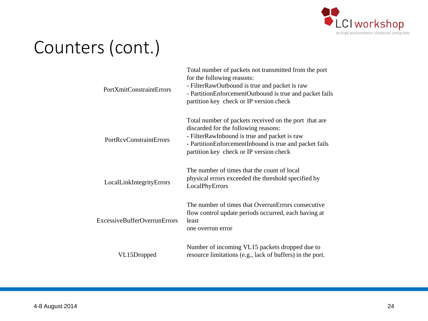

# Counters (cont.)

| <b>PortXmitConstraintErrors</b>     | Total number of packets not transmitted from the port<br>for the following reasons:<br>- FilterRawOutbound is true and packet is raw<br>- PartitionEnforcementOutbound is true and packet fails<br>partition key check or IP version check         |
|-------------------------------------|----------------------------------------------------------------------------------------------------------------------------------------------------------------------------------------------------------------------------------------------------|
| <b>PortRcyConstraintErrors</b>      | Total number of packets received on the port that are<br>discarded for the following reasons:<br>- FilterRawInbound is true and packet is raw<br>- PartitionEnforcementInbound is true and packet fails<br>partition key check or IP version check |
| LocalLinkIntegrityErrors            | The number of times that the count of local<br>physical errors exceeded the threshold specified by<br>LocalPhyErrors                                                                                                                               |
| <b>ExcessiveBufferOverrunErrors</b> | The number of times that OverrunErrors consecutive<br>flow control update periods occurred, each having at<br>least<br>one overrun error                                                                                                           |
| VL15Dropped                         | Number of incoming VL15 packets dropped due to<br>resource limitations (e.g., lack of buffers) in the port.                                                                                                                                        |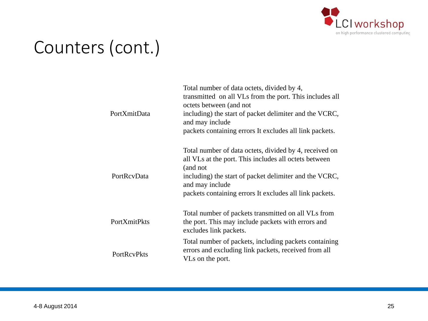

# Counters (cont.)

| PortXmitData       | Total number of data octets, divided by 4,<br>transmitted on all VLs from the port. This includes all<br>octets between (and not<br>including) the start of packet delimiter and the VCRC,<br>and may include<br>packets containing errors It excludes all link packets. |
|--------------------|--------------------------------------------------------------------------------------------------------------------------------------------------------------------------------------------------------------------------------------------------------------------------|
| PortRcvData        | Total number of data octets, divided by 4, received on<br>all VLs at the port. This includes all octets between<br>(and not<br>including) the start of packet delimiter and the VCRC,<br>and may include<br>packets containing errors It excludes all link packets.      |
| PortXmitPkts       | Total number of packets transmitted on all VLs from<br>the port. This may include packets with errors and<br>excludes link packets.                                                                                                                                      |
| <b>PortRcvPkts</b> | Total number of packets, including packets containing<br>errors and excluding link packets, received from all<br>VLs on the port.                                                                                                                                        |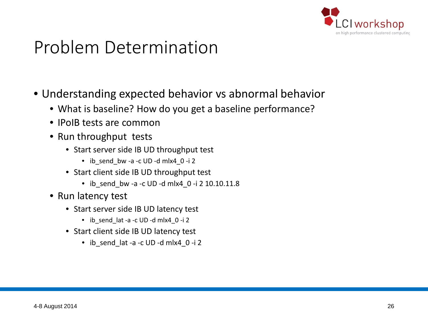

- Understanding expected behavior vs abnormal behavior
	- What is baseline? How do you get a baseline performance?
	- IPoIB tests are common
	- Run throughput tests
		- Start server side IB UD throughput test
			- ib send bw -a -c UD -d mlx4 0 -i 2
		- Start client side IB UD throughput test
			- ib\_send\_bw -a -c UD -d mlx4\_0 -i 2 10.10.11.8
	- Run latency test
		- Start server side IB UD latency test
			- ib send lat -a -c UD -d mlx4 0 -i 2
		- Start client side IB UD latency test
			- ib send lat -a -c UD -d mlx4 0 -i 2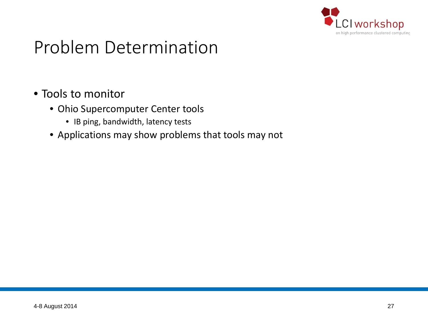

#### • Tools to monitor

- Ohio Supercomputer Center tools
	- IB ping, bandwidth, latency tests
- Applications may show problems that tools may not